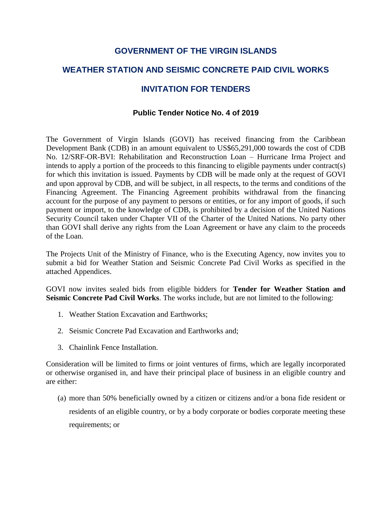## **GOVERNMENT OF THE VIRGIN ISLANDS**

# **WEATHER STATION AND SEISMIC CONCRETE PAID CIVIL WORKS**

## **INVITATION FOR TENDERS**

### **Public Tender Notice No. 4 of 2019**

The Government of Virgin Islands (GOVI) has received financing from the Caribbean Development Bank (CDB) in an amount equivalent to US\$65,291,000 towards the cost of CDB No. 12/SRF-OR-BVI: Rehabilitation and Reconstruction Loan – Hurricane Irma Project and intends to apply a portion of the proceeds to this financing to eligible payments under contract(s) for which this invitation is issued. Payments by CDB will be made only at the request of GOVI and upon approval by CDB, and will be subject, in all respects, to the terms and conditions of the Financing Agreement. The Financing Agreement prohibits withdrawal from the financing account for the purpose of any payment to persons or entities, or for any import of goods, if such payment or import, to the knowledge of CDB, is prohibited by a decision of the United Nations Security Council taken under Chapter VII of the Charter of the United Nations. No party other than GOVI shall derive any rights from the Loan Agreement or have any claim to the proceeds of the Loan.

The Projects Unit of the Ministry of Finance, who is the Executing Agency, now invites you to submit a bid for Weather Station and Seismic Concrete Pad Civil Works as specified in the attached Appendices.

GOVI now invites sealed bids from eligible bidders for **Tender for Weather Station and Seismic Concrete Pad Civil Works**. The works include, but are not limited to the following:

- 1. Weather Station Excavation and Earthworks;
- 2. Seismic Concrete Pad Excavation and Earthworks and;
- 3. Chainlink Fence Installation.

Consideration will be limited to firms or joint ventures of firms, which are legally incorporated or otherwise organised in, and have their principal place of business in an eligible country and are either:

(a) more than 50% beneficially owned by a citizen or citizens and/or a bona fide resident or residents of an eligible country, or by a body corporate or bodies corporate meeting these requirements; or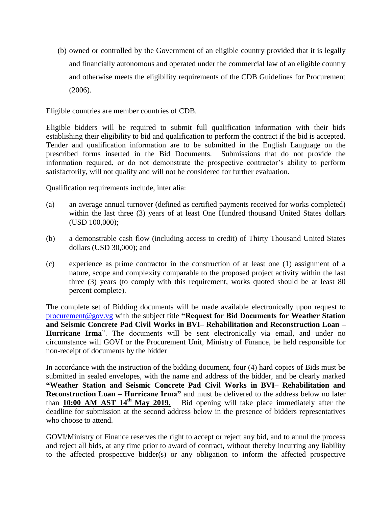(b) owned or controlled by the Government of an eligible country provided that it is legally and financially autonomous and operated under the commercial law of an eligible country and otherwise meets the eligibility requirements of the CDB Guidelines for Procurement (2006).

Eligible countries are member countries of CDB.

Eligible bidders will be required to submit full qualification information with their bids establishing their eligibility to bid and qualification to perform the contract if the bid is accepted. Tender and qualification information are to be submitted in the English Language on the prescribed forms inserted in the Bid Documents. Submissions that do not provide the information required, or do not demonstrate the prospective contractor's ability to perform satisfactorily, will not qualify and will not be considered for further evaluation.

Qualification requirements include, inter alia:

- (a) an average annual turnover (defined as certified payments received for works completed) within the last three (3) years of at least One Hundred thousand United States dollars (USD 100,000);
- (b) a demonstrable cash flow (including access to credit) of Thirty Thousand United States dollars (USD 30,000); and
- (c) experience as prime contractor in the construction of at least one (1) assignment of a nature, scope and complexity comparable to the proposed project activity within the last three (3) years (to comply with this requirement, works quoted should be at least 80 percent complete).

The complete set of Bidding documents will be made available electronically upon request to [procurement@gov.vg](mailto:procurement@gov.vg) with the subject title **"Request for Bid Documents for Weather Station and Seismic Concrete Pad Civil Works in BVI– Rehabilitation and Reconstruction Loan – Hurricane Irma**". The documents will be sent electronically via email, and under no circumstance will GOVI or the Procurement Unit, Ministry of Finance, be held responsible for non-receipt of documents by the bidder

In accordance with the instruction of the bidding document, four (4) hard copies of Bids must be submitted in sealed envelopes, with the name and address of the bidder, and be clearly marked **"Weather Station and Seismic Concrete Pad Civil Works in BVI– Rehabilitation and Reconstruction Loan – Hurricane Irma"** and must be delivered to the address below no later than 10:00 AM AST 14<sup>th</sup> May 2019. Bid opening will take place immediately after the Bid opening will take place immediately after the deadline for submission at the second address below in the presence of bidders representatives who choose to attend.

GOVI/Ministry of Finance reserves the right to accept or reject any bid, and to annul the process and reject all bids, at any time prior to award of contract, without thereby incurring any liability to the affected prospective bidder(s) or any obligation to inform the affected prospective